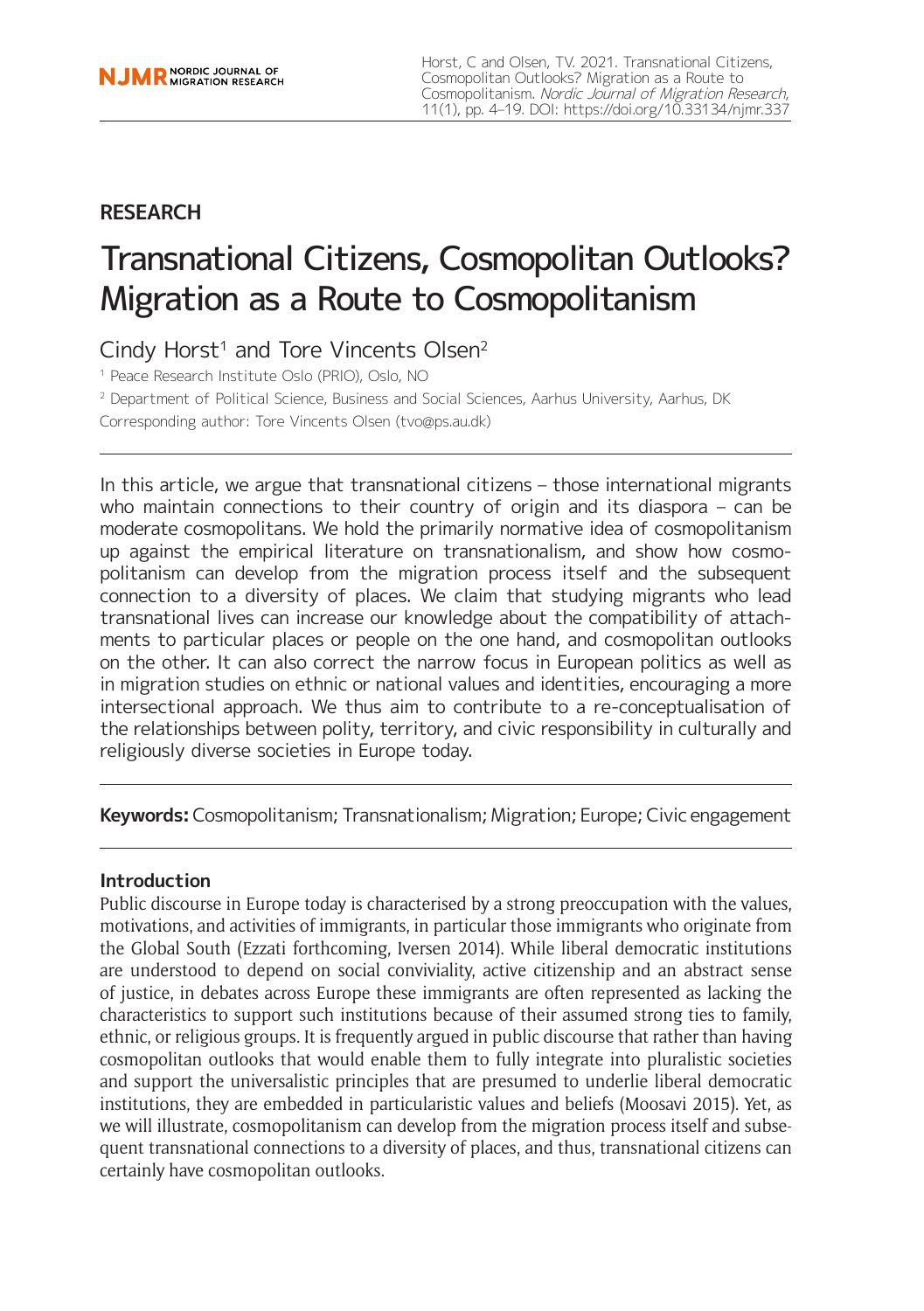## **RESEARCH**

# Transnational Citizens, Cosmopolitan Outlooks? Migration as a Route to Cosmopolitanism

Cindy Horst<sup>1</sup> and Tore Vincents Olsen<sup>2</sup>

<sup>1</sup> Peace Research Institute Oslo (PRIO), Oslo, NO

<sup>2</sup> Department of Political Science, Business and Social Sciences, Aarhus University, Aarhus, DK

Corresponding author: Tore Vincents Olsen [\(tvo@ps.au.dk\)](mailto:tvo@ps.au.dk)

In this article, we argue that transnational citizens – those international migrants who maintain connections to their country of origin and its diaspora - can be moderate cosmopolitans. We hold the primarily normative idea of cosmopolitanism up against the empirical literature on transnationalism, and show how cosmopolitanism can develop from the migration process itself and the subsequent connection to a diversity of places. We claim that studying migrants who lead transnational lives can increase our knowledge about the compatibility of attachments to particular places or people on the one hand, and cosmopolitan outlooks on the other. It can also correct the narrow focus in European politics as well as in migration studies on ethnic or national values and identities, encouraging a more intersectional approach. We thus aim to contribute to a re-conceptualisation of the relationships between polity, territory, and civic responsibility in culturally and religiously diverse societies in Europe today.

**Keywords:** Cosmopolitanism; Transnationalism; Migration; Europe; Civic engagement

## **Introduction**

Public discourse in Europe today is characterised by a strong preoccupation with the values, motivations, and activities of immigrants, in particular those immigrants who originate from the Global South (Ezzati forthcoming, Iversen 2014). While liberal democratic institutions are understood to depend on social conviviality, active citizenship and an abstract sense of justice, in debates across Europe these immigrants are often represented as lacking the characteristics to support such institutions because of their assumed strong ties to family, ethnic, or religious groups. It is frequently argued in public discourse that rather than having cosmopolitan outlooks that would enable them to fully integrate into pluralistic societies and support the universalistic principles that are presumed to underlie liberal democratic institutions, they are embedded in particularistic values and beliefs (Moosavi 2015). Yet, as we will illustrate, cosmopolitanism can develop from the migration process itself and subsequent transnational connections to a diversity of places, and thus, transnational citizens can certainly have cosmopolitan outlooks.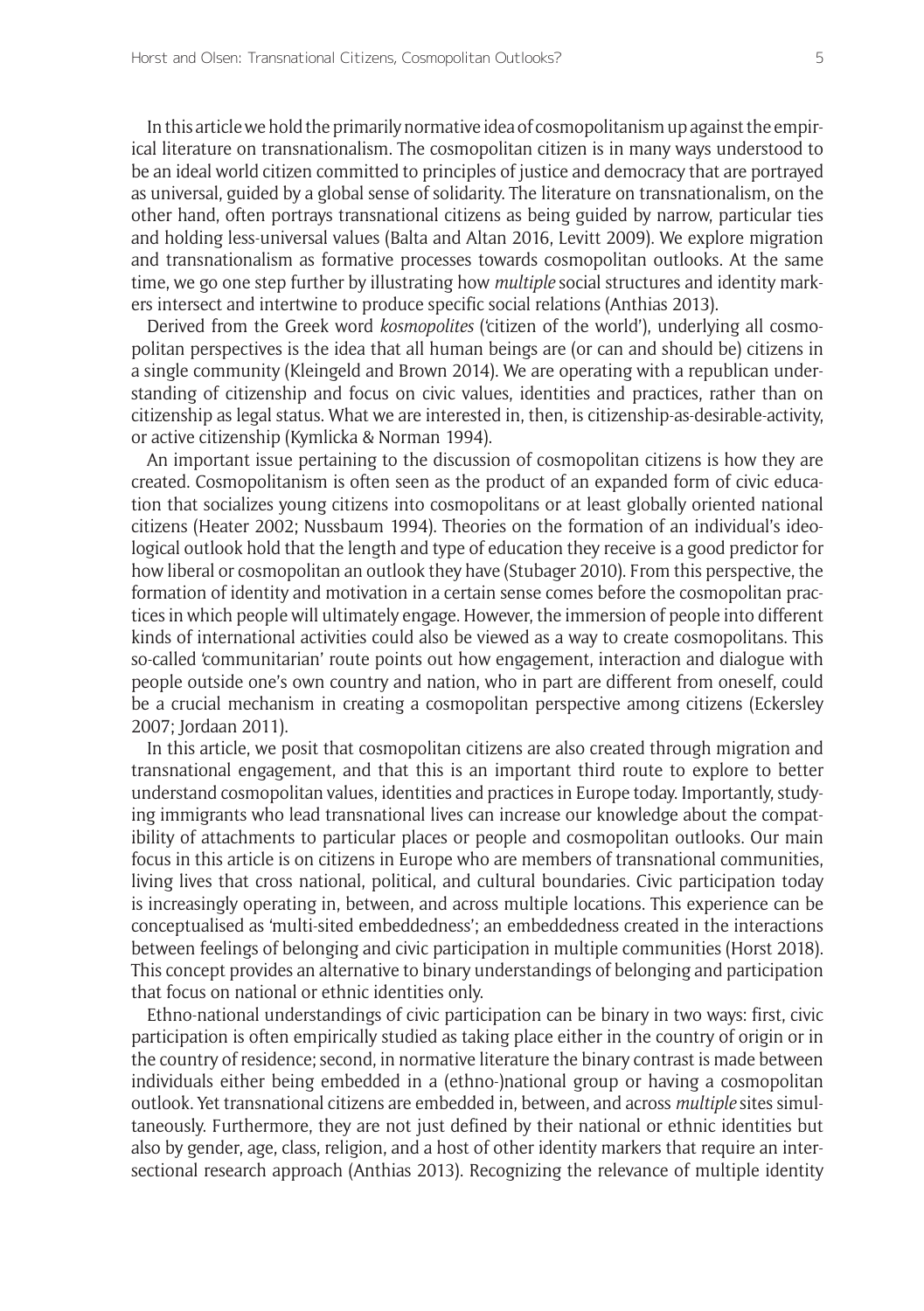In this article we hold the primarily normative idea of cosmopolitanism up against the empirical literature on transnationalism. The cosmopolitan citizen is in many ways understood to be an ideal world citizen committed to principles of justice and democracy that are portrayed as universal, guided by a global sense of solidarity. The literature on transnationalism, on the other hand, often portrays transnational citizens as being guided by narrow, particular ties and holding less-universal values (Balta and Altan 2016, Levitt 2009). We explore migration and transnationalism as formative processes towards cosmopolitan outlooks. At the same time, we go one step further by illustrating how *multiple* social structures and identity markers intersect and intertwine to produce specific social relations (Anthias 2013).

Derived from the Greek word *kosmopolites* ('citizen of the world'), underlying all cosmopolitan perspectives is the idea that all human beings are (or can and should be) citizens in a single community (Kleingeld and Brown 2014). We are operating with a republican understanding of citizenship and focus on civic values, identities and practices, rather than on citizenship as legal status. What we are interested in, then, is citizenship-as-desirable-activity, or active citizenship (Kymlicka & Norman 1994).

An important issue pertaining to the discussion of cosmopolitan citizens is how they are created. Cosmopolitanism is often seen as the product of an expanded form of civic education that socializes young citizens into cosmopolitans or at least globally oriented national citizens (Heater 2002; Nussbaum 1994). Theories on the formation of an individual's ideological outlook hold that the length and type of education they receive is a good predictor for how liberal or cosmopolitan an outlook they have (Stubager 2010). From this perspective, the formation of identity and motivation in a certain sense comes before the cosmopolitan practices in which people will ultimately engage. However, the immersion of people into different kinds of international activities could also be viewed as a way to create cosmopolitans. This so-called 'communitarian' route points out how engagement, interaction and dialogue with people outside one's own country and nation, who in part are different from oneself, could be a crucial mechanism in creating a cosmopolitan perspective among citizens (Eckersley 2007; Jordaan 2011).

In this article, we posit that cosmopolitan citizens are also created through migration and transnational engagement, and that this is an important third route to explore to better understand cosmopolitan values, identities and practices in Europe today. Importantly, studying immigrants who lead transnational lives can increase our knowledge about the compatibility of attachments to particular places or people and cosmopolitan outlooks. Our main focus in this article is on citizens in Europe who are members of transnational communities, living lives that cross national, political, and cultural boundaries. Civic participation today is increasingly operating in, between, and across multiple locations. This experience can be conceptualised as 'multi-sited embeddedness'; an embeddedness created in the interactions between feelings of belonging and civic participation in multiple communities (Horst 2018). This concept provides an alternative to binary understandings of belonging and participation that focus on national or ethnic identities only.

Ethno-national understandings of civic participation can be binary in two ways: first, civic participation is often empirically studied as taking place either in the country of origin or in the country of residence; second, in normative literature the binary contrast is made between individuals either being embedded in a (ethno-)national group or having a cosmopolitan outlook. Yet transnational citizens are embedded in, between, and across *multiple* sites simultaneously. Furthermore, they are not just defined by their national or ethnic identities but also by gender, age, class, religion, and a host of other identity markers that require an intersectional research approach (Anthias 2013). Recognizing the relevance of multiple identity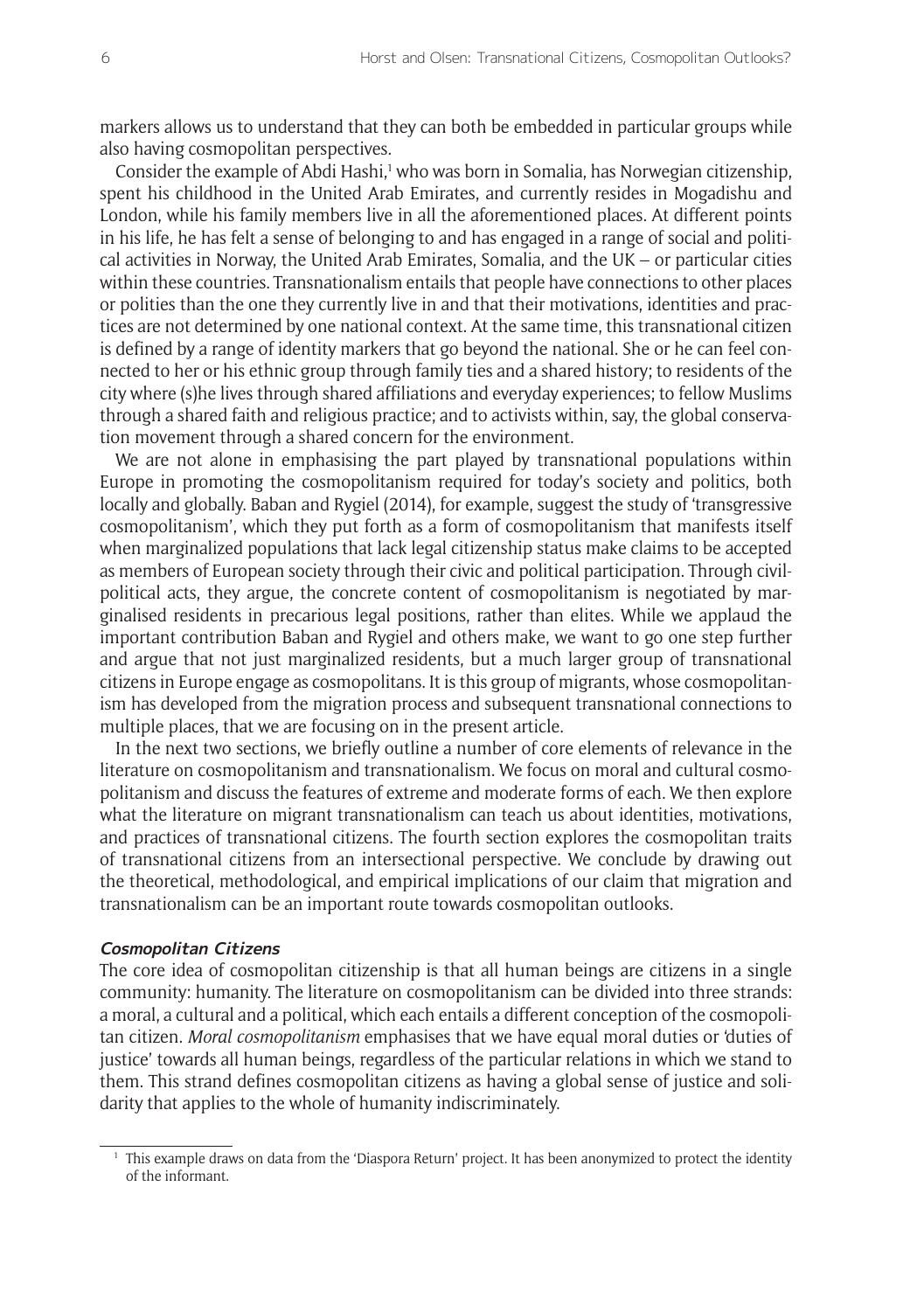markers allows us to understand that they can both be embedded in particular groups while also having cosmopolitan perspectives.

Consider the example of Abdi Hashi,<sup>1</sup> who was born in Somalia, has Norwegian citizenship, spent his childhood in the United Arab Emirates, and currently resides in Mogadishu and London, while his family members live in all the aforementioned places. At different points in his life, he has felt a sense of belonging to and has engaged in a range of social and political activities in Norway, the United Arab Emirates, Somalia, and the UK – or particular cities within these countries. Transnationalism entails that people have connections to other places or polities than the one they currently live in and that their motivations, identities and practices are not determined by one national context. At the same time, this transnational citizen is defined by a range of identity markers that go beyond the national. She or he can feel connected to her or his ethnic group through family ties and a shared history; to residents of the city where (s)he lives through shared affiliations and everyday experiences; to fellow Muslims through a shared faith and religious practice; and to activists within, say, the global conservation movement through a shared concern for the environment.

We are not alone in emphasising the part played by transnational populations within Europe in promoting the cosmopolitanism required for today's society and politics, both locally and globally. Baban and Rygiel (2014), for example, suggest the study of 'transgressive cosmopolitanism', which they put forth as a form of cosmopolitanism that manifests itself when marginalized populations that lack legal citizenship status make claims to be accepted as members of European society through their civic and political participation. Through civilpolitical acts, they argue, the concrete content of cosmopolitanism is negotiated by marginalised residents in precarious legal positions, rather than elites. While we applaud the important contribution Baban and Rygiel and others make, we want to go one step further and argue that not just marginalized residents, but a much larger group of transnational citizens in Europe engage as cosmopolitans. It is this group of migrants, whose cosmopolitanism has developed from the migration process and subsequent transnational connections to multiple places, that we are focusing on in the present article.

In the next two sections, we briefly outline a number of core elements of relevance in the literature on cosmopolitanism and transnationalism. We focus on moral and cultural cosmopolitanism and discuss the features of extreme and moderate forms of each. We then explore what the literature on migrant transnationalism can teach us about identities, motivations, and practices of transnational citizens. The fourth section explores the cosmopolitan traits of transnational citizens from an intersectional perspective. We conclude by drawing out the theoretical, methodological, and empirical implications of our claim that migration and transnationalism can be an important route towards cosmopolitan outlooks.

#### **Cosmopolitan Citizens**

The core idea of cosmopolitan citizenship is that all human beings are citizens in a single community: humanity. The literature on cosmopolitanism can be divided into three strands: a moral, a cultural and a political, which each entails a different conception of the cosmopolitan citizen. *Moral cosmopolitanism* emphasises that we have equal moral duties or 'duties of justice' towards all human beings, regardless of the particular relations in which we stand to them. This strand defines cosmopolitan citizens as having a global sense of justice and solidarity that applies to the whole of humanity indiscriminately.

<sup>&</sup>lt;sup>1</sup> This example draws on data from the 'Diaspora Return' project. It has been anonymized to protect the identity of the informant.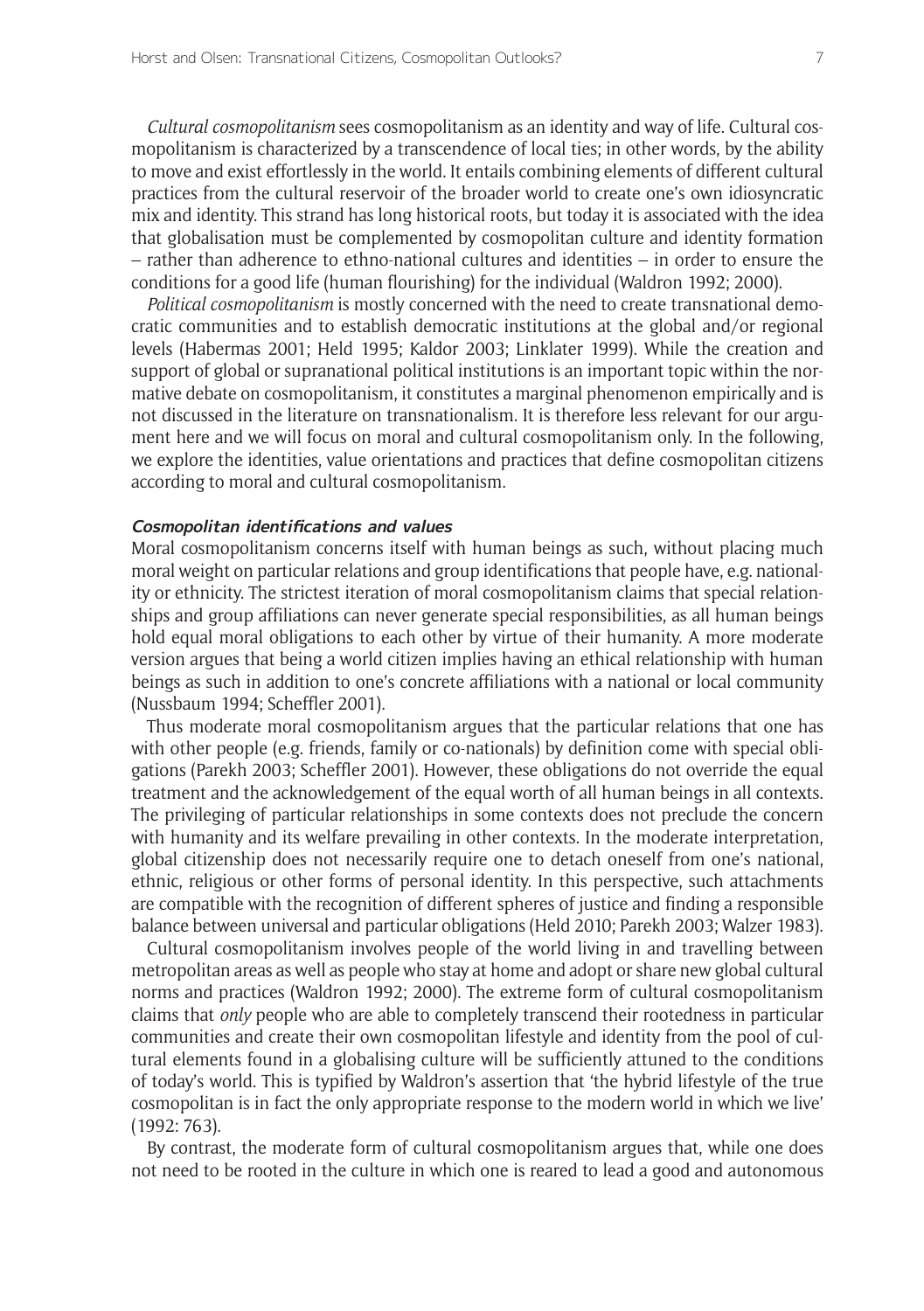*Cultural cosmopolitanism* sees cosmopolitanism as an identity and way of life. Cultural cosmopolitanism is characterized by a transcendence of local ties; in other words, by the ability to move and exist effortlessly in the world. It entails combining elements of different cultural practices from the cultural reservoir of the broader world to create one's own idiosyncratic mix and identity. This strand has long historical roots, but today it is associated with the idea that globalisation must be complemented by cosmopolitan culture and identity formation – rather than adherence to ethno-national cultures and identities – in order to ensure the conditions for a good life (human flourishing) for the individual (Waldron 1992; 2000).

*Political cosmopolitanism* is mostly concerned with the need to create transnational democratic communities and to establish democratic institutions at the global and/or regional levels (Habermas 2001; Held 1995; Kaldor 2003; Linklater 1999). While the creation and support of global or supranational political institutions is an important topic within the normative debate on cosmopolitanism, it constitutes a marginal phenomenon empirically and is not discussed in the literature on transnationalism. It is therefore less relevant for our argument here and we will focus on moral and cultural cosmopolitanism only. In the following, we explore the identities, value orientations and practices that define cosmopolitan citizens according to moral and cultural cosmopolitanism.

#### **Cosmopolitan identifications and values**

Moral cosmopolitanism concerns itself with human beings as such, without placing much moral weight on particular relations and group identifications that people have, e.g. nationality or ethnicity. The strictest iteration of moral cosmopolitanism claims that special relationships and group affiliations can never generate special responsibilities, as all human beings hold equal moral obligations to each other by virtue of their humanity. A more moderate version argues that being a world citizen implies having an ethical relationship with human beings as such in addition to one's concrete affiliations with a national or local community (Nussbaum 1994; Scheffler 2001).

Thus moderate moral cosmopolitanism argues that the particular relations that one has with other people (e.g. friends, family or co-nationals) by definition come with special obligations (Parekh 2003; Scheffler 2001). However, these obligations do not override the equal treatment and the acknowledgement of the equal worth of all human beings in all contexts. The privileging of particular relationships in some contexts does not preclude the concern with humanity and its welfare prevailing in other contexts. In the moderate interpretation, global citizenship does not necessarily require one to detach oneself from one's national, ethnic, religious or other forms of personal identity. In this perspective, such attachments are compatible with the recognition of different spheres of justice and finding a responsible balance between universal and particular obligations (Held 2010; Parekh 2003; Walzer 1983).

Cultural cosmopolitanism involves people of the world living in and travelling between metropolitan areas as well as people who stay at home and adopt or share new global cultural norms and practices (Waldron 1992; 2000). The extreme form of cultural cosmopolitanism claims that *only* people who are able to completely transcend their rootedness in particular communities and create their own cosmopolitan lifestyle and identity from the pool of cultural elements found in a globalising culture will be sufficiently attuned to the conditions of today's world. This is typified by Waldron's assertion that 'the hybrid lifestyle of the true cosmopolitan is in fact the only appropriate response to the modern world in which we live' (1992: 763).

By contrast, the moderate form of cultural cosmopolitanism argues that, while one does not need to be rooted in the culture in which one is reared to lead a good and autonomous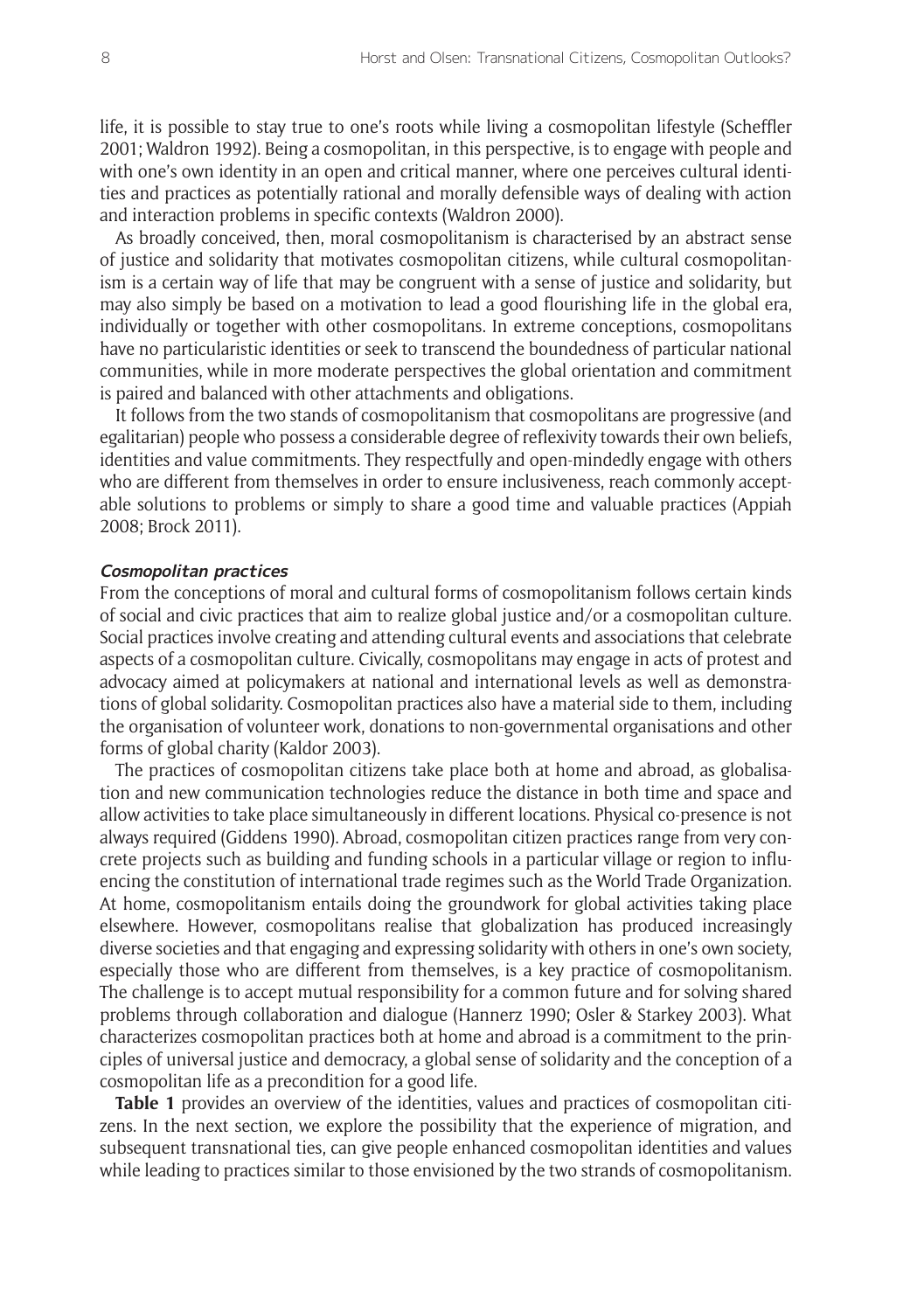life, it is possible to stay true to one's roots while living a cosmopolitan lifestyle (Scheffler 2001; Waldron 1992). Being a cosmopolitan, in this perspective, is to engage with people and with one's own identity in an open and critical manner, where one perceives cultural identities and practices as potentially rational and morally defensible ways of dealing with action and interaction problems in specific contexts (Waldron 2000).

As broadly conceived, then, moral cosmopolitanism is characterised by an abstract sense of justice and solidarity that motivates cosmopolitan citizens, while cultural cosmopolitanism is a certain way of life that may be congruent with a sense of justice and solidarity, but may also simply be based on a motivation to lead a good flourishing life in the global era, individually or together with other cosmopolitans. In extreme conceptions, cosmopolitans have no particularistic identities or seek to transcend the boundedness of particular national communities, while in more moderate perspectives the global orientation and commitment is paired and balanced with other attachments and obligations.

It follows from the two stands of cosmopolitanism that cosmopolitans are progressive (and egalitarian) people who possess a considerable degree of reflexivity towards their own beliefs, identities and value commitments. They respectfully and open-mindedly engage with others who are different from themselves in order to ensure inclusiveness, reach commonly acceptable solutions to problems or simply to share a good time and valuable practices (Appiah 2008; Brock 2011).

#### **Cosmopolitan practices**

From the conceptions of moral and cultural forms of cosmopolitanism follows certain kinds of social and civic practices that aim to realize global justice and/or a cosmopolitan culture. Social practices involve creating and attending cultural events and associations that celebrate aspects of a cosmopolitan culture. Civically, cosmopolitans may engage in acts of protest and advocacy aimed at policymakers at national and international levels as well as demonstrations of global solidarity. Cosmopolitan practices also have a material side to them, including the organisation of volunteer work, donations to non-governmental organisations and other forms of global charity (Kaldor 2003).

The practices of cosmopolitan citizens take place both at home and abroad, as globalisation and new communication technologies reduce the distance in both time and space and allow activities to take place simultaneously in different locations. Physical co-presence is not always required (Giddens 1990). Abroad, cosmopolitan citizen practices range from very concrete projects such as building and funding schools in a particular village or region to influencing the constitution of international trade regimes such as the World Trade Organization. At home, cosmopolitanism entails doing the groundwork for global activities taking place elsewhere. However, cosmopolitans realise that globalization has produced increasingly diverse societies and that engaging and expressing solidarity with others in one's own society, especially those who are different from themselves, is a key practice of cosmopolitanism. The challenge is to accept mutual responsibility for a common future and for solving shared problems through collaboration and dialogue (Hannerz 1990; Osler & Starkey 2003). What characterizes cosmopolitan practices both at home and abroad is a commitment to the principles of universal justice and democracy, a global sense of solidarity and the conception of a cosmopolitan life as a precondition for a good life.

**Table 1** provides an overview of the identities, values and practices of cosmopolitan citizens. In the next section, we explore the possibility that the experience of migration, and subsequent transnational ties, can give people enhanced cosmopolitan identities and values while leading to practices similar to those envisioned by the two strands of cosmopolitanism.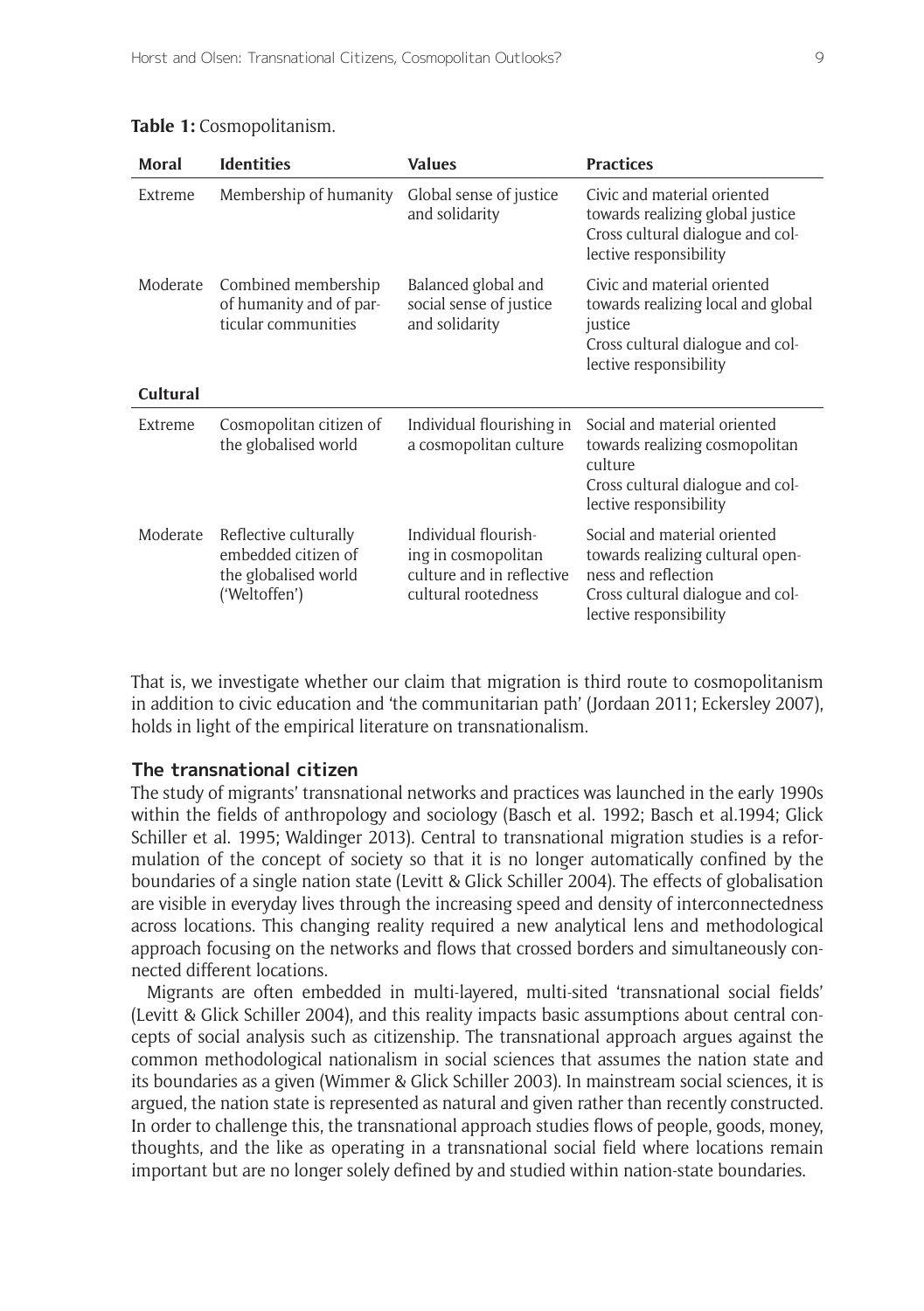| Moral                       | <b>Identities</b>                                                                     | <b>Values</b>                                                                                   | <b>Practices</b>                                                                                                                                      |
|-----------------------------|---------------------------------------------------------------------------------------|-------------------------------------------------------------------------------------------------|-------------------------------------------------------------------------------------------------------------------------------------------------------|
| Extreme                     | Membership of humanity                                                                | Global sense of justice<br>and solidarity                                                       | Civic and material oriented<br>towards realizing global justice<br>Cross cultural dialogue and col-<br>lective responsibility                         |
| Moderate<br><b>Cultural</b> | Combined membership<br>of humanity and of par-<br>ticular communities                 | Balanced global and<br>social sense of justice<br>and solidarity                                | Civic and material oriented<br>towards realizing local and global<br>justice<br>Cross cultural dialogue and col-<br>lective responsibility            |
| Extreme                     | Cosmopolitan citizen of<br>the globalised world                                       | Individual flourishing in<br>a cosmopolitan culture                                             | Social and material oriented<br>towards realizing cosmopolitan<br>culture<br>Cross cultural dialogue and col-<br>lective responsibility               |
| Moderate                    | Reflective culturally<br>embedded citizen of<br>the globalised world<br>('Weltoffen') | Individual flourish-<br>ing in cosmopolitan<br>culture and in reflective<br>cultural rootedness | Social and material oriented<br>towards realizing cultural open-<br>ness and reflection<br>Cross cultural dialogue and col-<br>lective responsibility |

#### **Table 1:** Cosmopolitanism.

That is, we investigate whether our claim that migration is third route to cosmopolitanism in addition to civic education and 'the communitarian path' (Jordaan 2011; Eckersley 2007), holds in light of the empirical literature on transnationalism.

#### **The transnational citizen**

The study of migrants' transnational networks and practices was launched in the early 1990s within the fields of anthropology and sociology (Basch et al. 1992; Basch et al.1994; Glick Schiller et al. 1995; Waldinger 2013). Central to transnational migration studies is a reformulation of the concept of society so that it is no longer automatically confined by the boundaries of a single nation state (Levitt & Glick Schiller 2004). The effects of globalisation are visible in everyday lives through the increasing speed and density of interconnectedness across locations. This changing reality required a new analytical lens and methodological approach focusing on the networks and flows that crossed borders and simultaneously connected different locations.

Migrants are often embedded in multi-layered, multi-sited 'transnational social fields' (Levitt & Glick Schiller 2004), and this reality impacts basic assumptions about central concepts of social analysis such as citizenship. The transnational approach argues against the common methodological nationalism in social sciences that assumes the nation state and its boundaries as a given (Wimmer & Glick Schiller 2003). In mainstream social sciences, it is argued, the nation state is represented as natural and given rather than recently constructed. In order to challenge this, the transnational approach studies flows of people, goods, money, thoughts, and the like as operating in a transnational social field where locations remain important but are no longer solely defined by and studied within nation-state boundaries.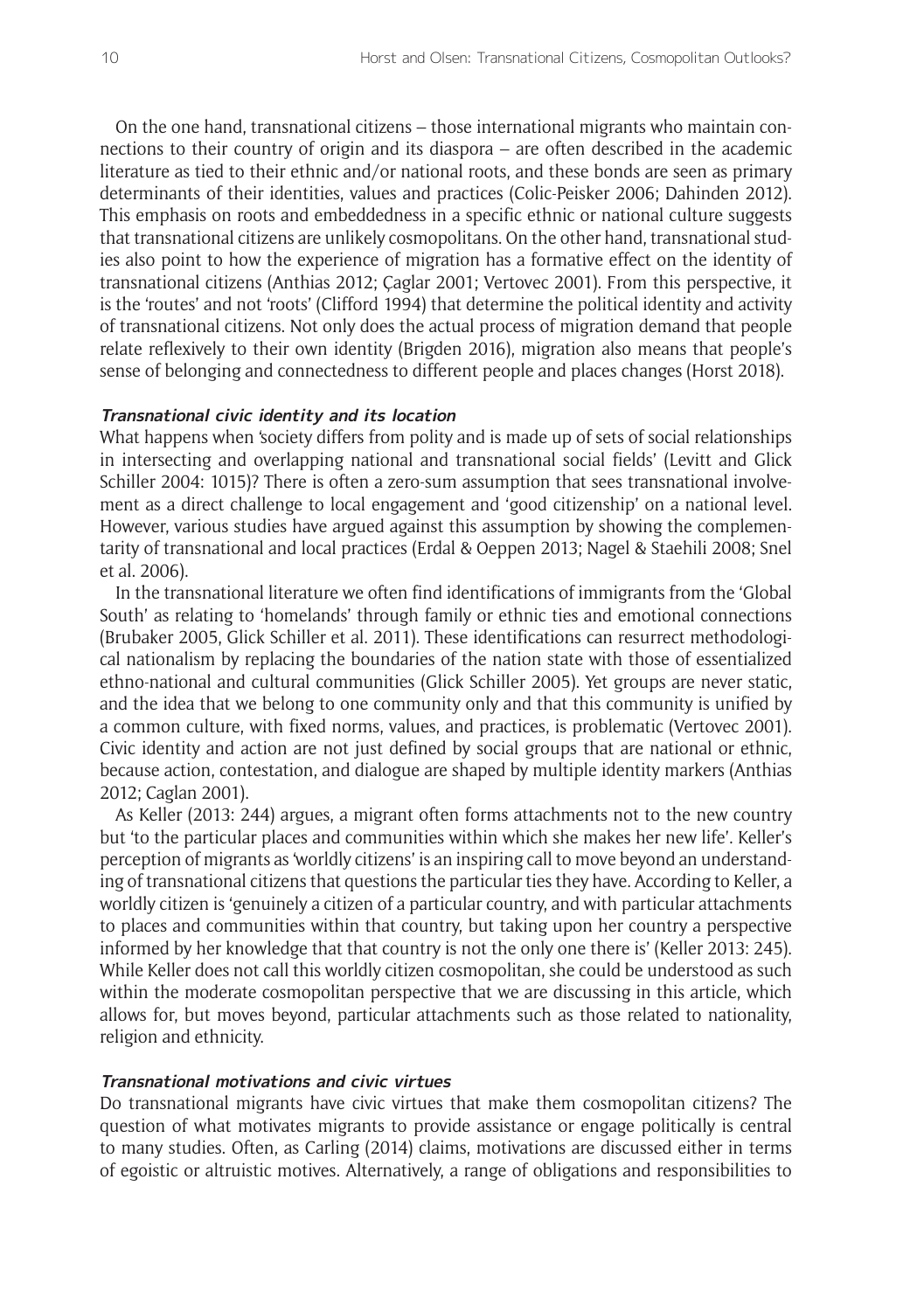On the one hand, transnational citizens – those international migrants who maintain connections to their country of origin and its diaspora – are often described in the academic literature as tied to their ethnic and/or national roots, and these bonds are seen as primary determinants of their identities, values and practices (Colic-Peisker 2006; Dahinden 2012). This emphasis on roots and embeddedness in a specific ethnic or national culture suggests that transnational citizens are unlikely cosmopolitans. On the other hand, transnational studies also point to how the experience of migration has a formative effect on the identity of transnational citizens (Anthias 2012; Çaglar 2001; Vertovec 2001). From this perspective, it is the 'routes' and not 'roots' (Clifford 1994) that determine the political identity and activity of transnational citizens. Not only does the actual process of migration demand that people relate reflexively to their own identity (Brigden 2016), migration also means that people's sense of belonging and connectedness to different people and places changes (Horst 2018).

#### **Transnational civic identity and its location**

What happens when 'society differs from polity and is made up of sets of social relationships in intersecting and overlapping national and transnational social fields' (Levitt and Glick Schiller 2004: 1015)? There is often a zero-sum assumption that sees transnational involvement as a direct challenge to local engagement and 'good citizenship' on a national level. However, various studies have argued against this assumption by showing the complementarity of transnational and local practices (Erdal & Oeppen 2013; Nagel & Staehili 2008; Snel et al. 2006).

In the transnational literature we often find identifications of immigrants from the 'Global South' as relating to 'homelands' through family or ethnic ties and emotional connections (Brubaker 2005, Glick Schiller et al. 2011). These identifications can resurrect methodological nationalism by replacing the boundaries of the nation state with those of essentialized ethno-national and cultural communities (Glick Schiller 2005). Yet groups are never static, and the idea that we belong to one community only and that this community is unified by a common culture, with fixed norms, values, and practices, is problematic (Vertovec 2001). Civic identity and action are not just defined by social groups that are national or ethnic, because action, contestation, and dialogue are shaped by multiple identity markers (Anthias 2012; Caglan 2001).

As Keller (2013: 244) argues, a migrant often forms attachments not to the new country but 'to the particular places and communities within which she makes her new life'. Keller's perception of migrants as 'worldly citizens' is an inspiring call to move beyond an understanding of transnational citizens that questions the particular ties they have. According to Keller, a worldly citizen is 'genuinely a citizen of a particular country, and with particular attachments to places and communities within that country, but taking upon her country a perspective informed by her knowledge that that country is not the only one there is' (Keller 2013: 245). While Keller does not call this worldly citizen cosmopolitan, she could be understood as such within the moderate cosmopolitan perspective that we are discussing in this article, which allows for, but moves beyond, particular attachments such as those related to nationality, religion and ethnicity.

#### **Transnational motivations and civic virtues**

Do transnational migrants have civic virtues that make them cosmopolitan citizens? The question of what motivates migrants to provide assistance or engage politically is central to many studies. Often, as Carling (2014) claims, motivations are discussed either in terms of egoistic or altruistic motives. Alternatively, a range of obligations and responsibilities to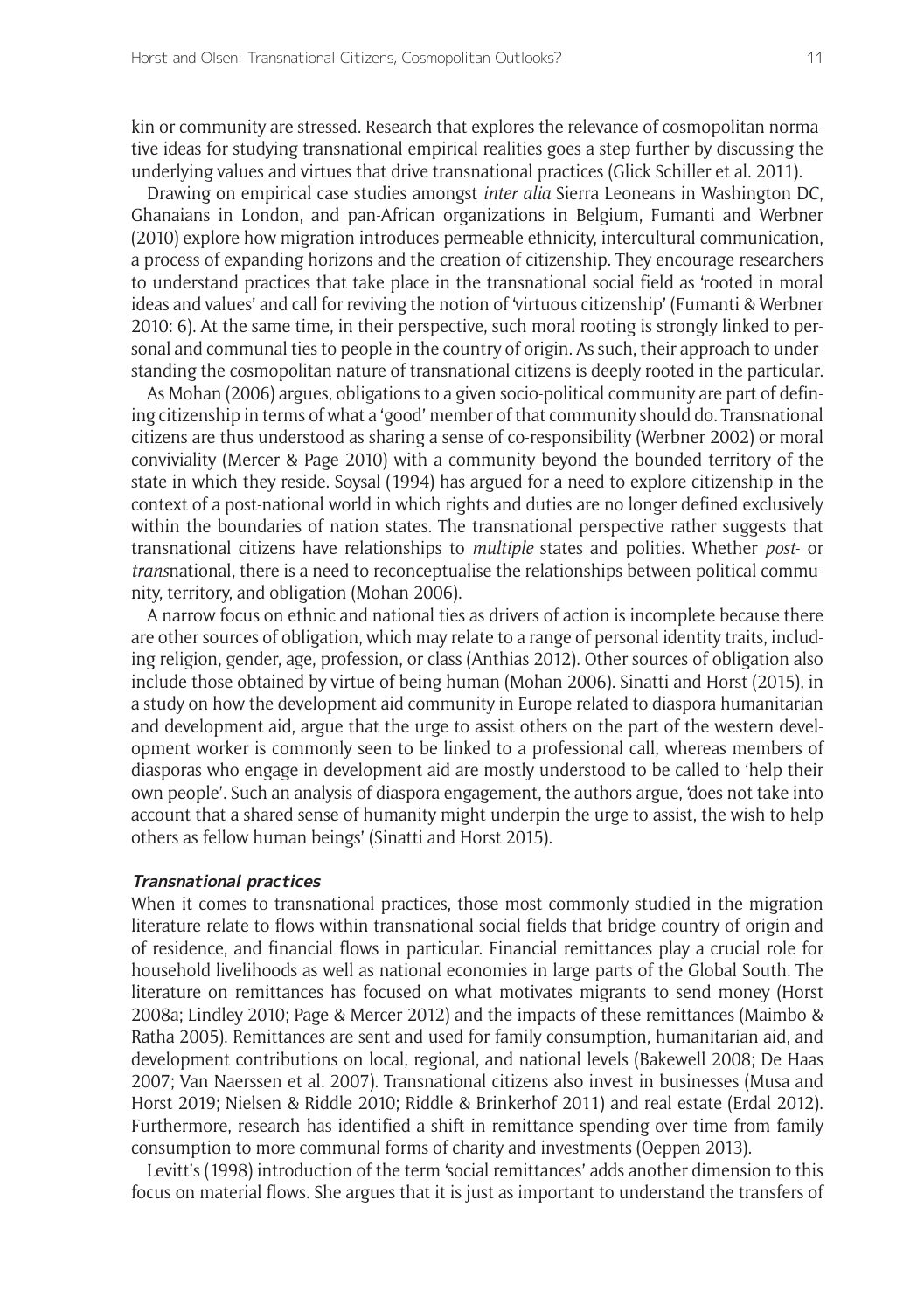kin or community are stressed. Research that explores the relevance of cosmopolitan normative ideas for studying transnational empirical realities goes a step further by discussing the underlying values and virtues that drive transnational practices (Glick Schiller et al. 2011).

Drawing on empirical case studies amongst *inter alia* Sierra Leoneans in Washington DC, Ghanaians in London, and pan-African organizations in Belgium, Fumanti and Werbner (2010) explore how migration introduces permeable ethnicity, intercultural communication, a process of expanding horizons and the creation of citizenship. They encourage researchers to understand practices that take place in the transnational social field as 'rooted in moral ideas and values' and call for reviving the notion of 'virtuous citizenship' (Fumanti & Werbner 2010: 6). At the same time, in their perspective, such moral rooting is strongly linked to personal and communal ties to people in the country of origin. As such, their approach to understanding the cosmopolitan nature of transnational citizens is deeply rooted in the particular.

As Mohan (2006) argues, obligations to a given socio-political community are part of defining citizenship in terms of what a 'good' member of that community should do. Transnational citizens are thus understood as sharing a sense of co-responsibility (Werbner 2002) or moral conviviality (Mercer & Page 2010) with a community beyond the bounded territory of the state in which they reside. Soysal (1994) has argued for a need to explore citizenship in the context of a post-national world in which rights and duties are no longer defined exclusively within the boundaries of nation states. The transnational perspective rather suggests that transnational citizens have relationships to *multiple* states and polities. Whether *post*- or *trans*national, there is a need to reconceptualise the relationships between political community, territory, and obligation (Mohan 2006).

A narrow focus on ethnic and national ties as drivers of action is incomplete because there are other sources of obligation, which may relate to a range of personal identity traits, including religion, gender, age, profession, or class (Anthias 2012). Other sources of obligation also include those obtained by virtue of being human (Mohan 2006). Sinatti and Horst (2015), in a study on how the development aid community in Europe related to diaspora humanitarian and development aid, argue that the urge to assist others on the part of the western development worker is commonly seen to be linked to a professional call, whereas members of diasporas who engage in development aid are mostly understood to be called to 'help their own people'. Such an analysis of diaspora engagement, the authors argue, 'does not take into account that a shared sense of humanity might underpin the urge to assist, the wish to help others as fellow human beings' (Sinatti and Horst 2015).

#### **Transnational practices**

When it comes to transnational practices, those most commonly studied in the migration literature relate to flows within transnational social fields that bridge country of origin and of residence, and financial flows in particular. Financial remittances play a crucial role for household livelihoods as well as national economies in large parts of the Global South. The literature on remittances has focused on what motivates migrants to send money (Horst 2008a; Lindley 2010; Page & Mercer 2012) and the impacts of these remittances (Maimbo & Ratha 2005). Remittances are sent and used for family consumption, humanitarian aid, and development contributions on local, regional, and national levels (Bakewell 2008; De Haas 2007; Van Naerssen et al. 2007). Transnational citizens also invest in businesses (Musa and Horst 2019; Nielsen & Riddle 2010; Riddle & Brinkerhof 2011) and real estate (Erdal 2012). Furthermore, research has identified a shift in remittance spending over time from family consumption to more communal forms of charity and investments (Oeppen 2013).

Levitt's (1998) introduction of the term 'social remittances' adds another dimension to this focus on material flows. She argues that it is just as important to understand the transfers of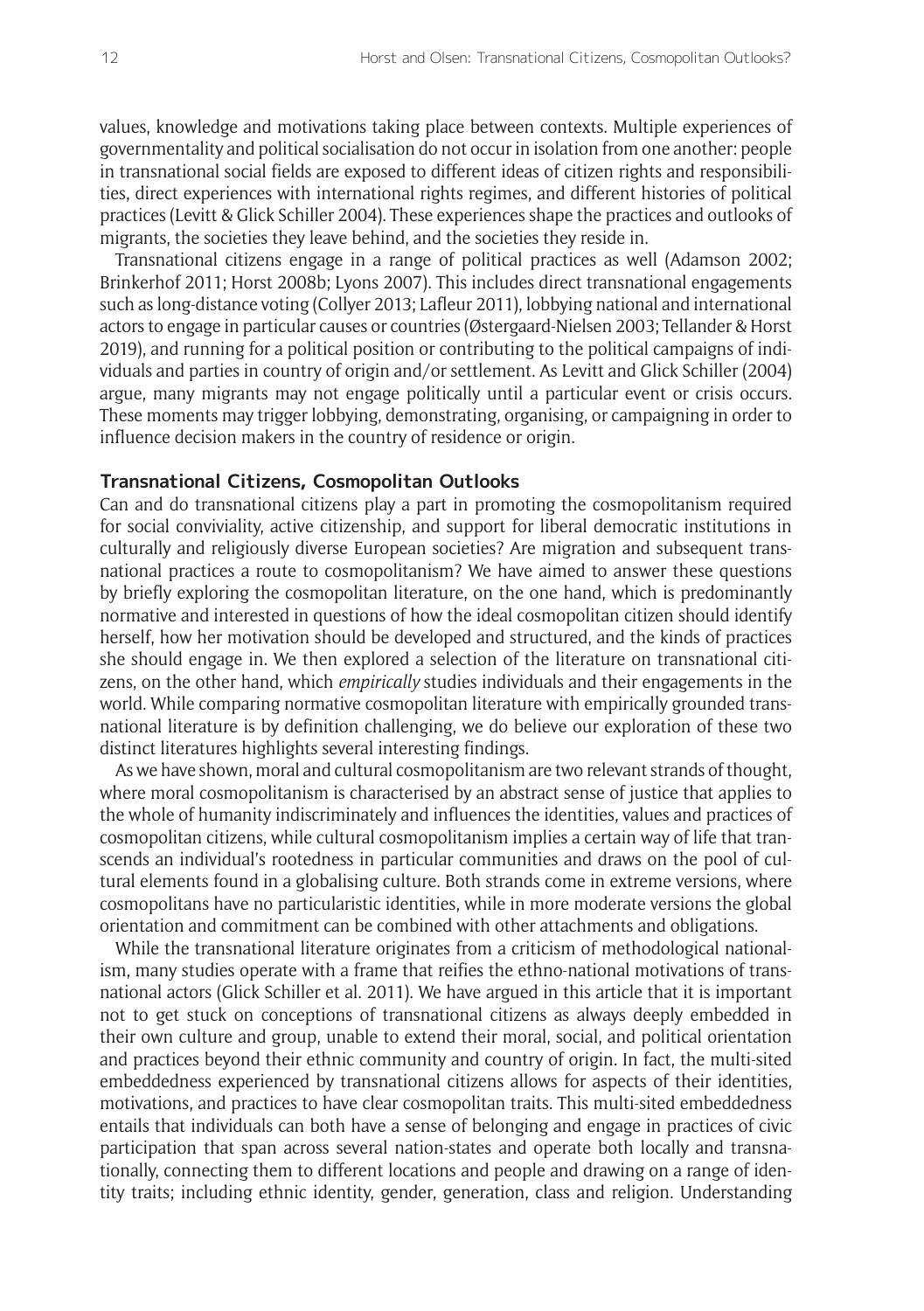values, knowledge and motivations taking place between contexts. Multiple experiences of governmentality and political socialisation do not occur in isolation from one another: people in transnational social fields are exposed to different ideas of citizen rights and responsibilities, direct experiences with international rights regimes, and different histories of political practices (Levitt & Glick Schiller 2004). These experiences shape the practices and outlooks of migrants, the societies they leave behind, and the societies they reside in.

Transnational citizens engage in a range of political practices as well (Adamson 2002; Brinkerhof 2011; Horst 2008b; Lyons 2007). This includes direct transnational engagements such as long-distance voting (Collyer 2013; Lafleur 2011), lobbying national and international actors to engage in particular causes or countries (Østergaard-Nielsen 2003; Tellander & Horst 2019), and running for a political position or contributing to the political campaigns of individuals and parties in country of origin and/or settlement. As Levitt and Glick Schiller (2004) argue, many migrants may not engage politically until a particular event or crisis occurs. These moments may trigger lobbying, demonstrating, organising, or campaigning in order to influence decision makers in the country of residence or origin.

#### **Transnational Citizens, Cosmopolitan Outlooks**

Can and do transnational citizens play a part in promoting the cosmopolitanism required for social conviviality, active citizenship, and support for liberal democratic institutions in culturally and religiously diverse European societies? Are migration and subsequent transnational practices a route to cosmopolitanism? We have aimed to answer these questions by briefly exploring the cosmopolitan literature, on the one hand, which is predominantly normative and interested in questions of how the ideal cosmopolitan citizen should identify herself, how her motivation should be developed and structured, and the kinds of practices she should engage in. We then explored a selection of the literature on transnational citizens, on the other hand, which *empirically* studies individuals and their engagements in the world. While comparing normative cosmopolitan literature with empirically grounded transnational literature is by definition challenging, we do believe our exploration of these two distinct literatures highlights several interesting findings.

As we have shown, moral and cultural cosmopolitanism are two relevant strands of thought, where moral cosmopolitanism is characterised by an abstract sense of justice that applies to the whole of humanity indiscriminately and influences the identities, values and practices of cosmopolitan citizens, while cultural cosmopolitanism implies a certain way of life that transcends an individual's rootedness in particular communities and draws on the pool of cultural elements found in a globalising culture. Both strands come in extreme versions, where cosmopolitans have no particularistic identities, while in more moderate versions the global orientation and commitment can be combined with other attachments and obligations.

While the transnational literature originates from a criticism of methodological nationalism, many studies operate with a frame that reifies the ethno-national motivations of transnational actors (Glick Schiller et al. 2011). We have argued in this article that it is important not to get stuck on conceptions of transnational citizens as always deeply embedded in their own culture and group, unable to extend their moral, social, and political orientation and practices beyond their ethnic community and country of origin. In fact, the multi-sited embeddedness experienced by transnational citizens allows for aspects of their identities, motivations, and practices to have clear cosmopolitan traits. This multi-sited embeddedness entails that individuals can both have a sense of belonging and engage in practices of civic participation that span across several nation-states and operate both locally and transnationally, connecting them to different locations and people and drawing on a range of identity traits; including ethnic identity, gender, generation, class and religion. Understanding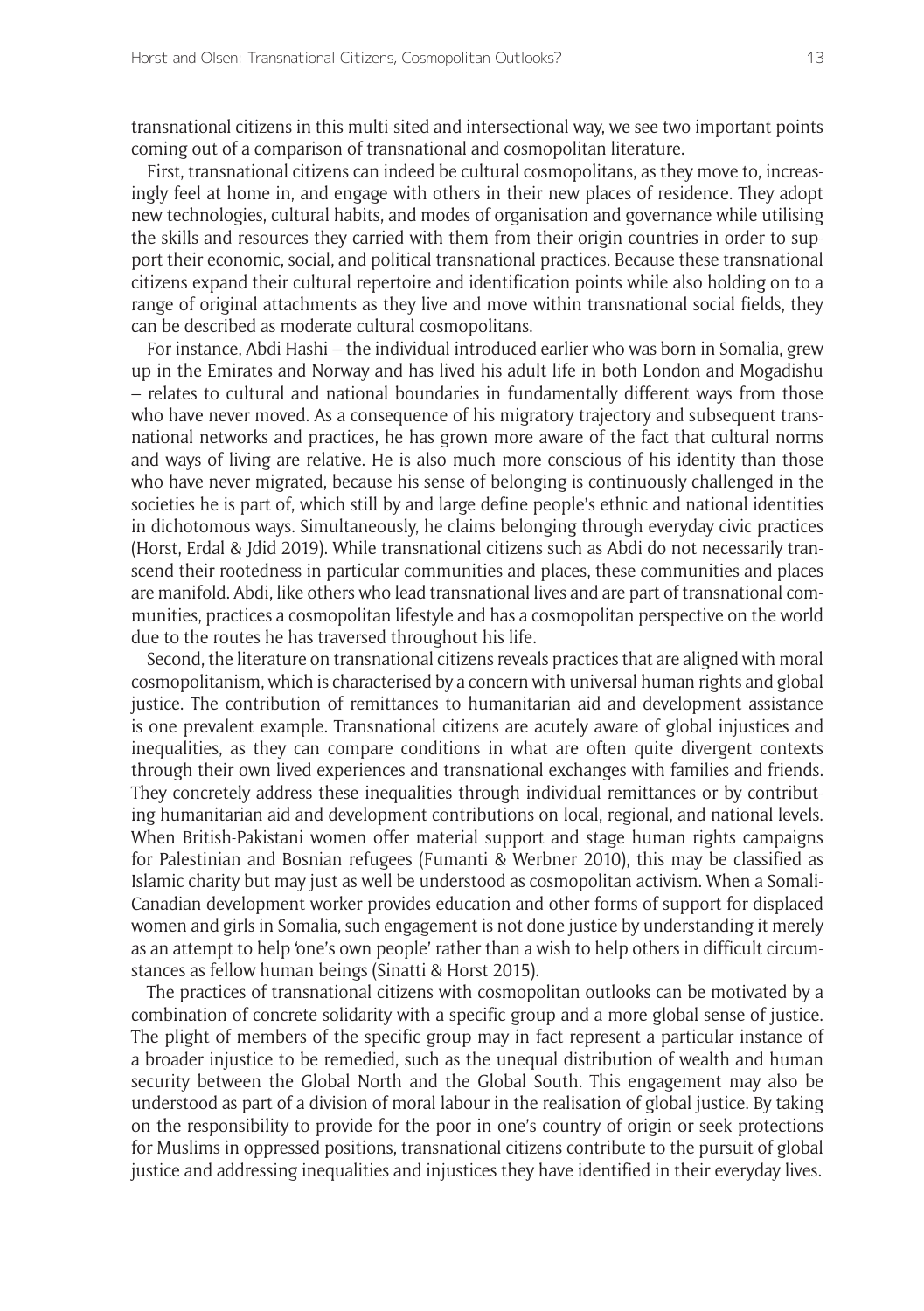transnational citizens in this multi-sited and intersectional way, we see two important points coming out of a comparison of transnational and cosmopolitan literature.

First, transnational citizens can indeed be cultural cosmopolitans, as they move to, increasingly feel at home in, and engage with others in their new places of residence. They adopt new technologies, cultural habits, and modes of organisation and governance while utilising the skills and resources they carried with them from their origin countries in order to support their economic, social, and political transnational practices. Because these transnational citizens expand their cultural repertoire and identification points while also holding on to a range of original attachments as they live and move within transnational social fields, they can be described as moderate cultural cosmopolitans.

For instance, Abdi Hashi – the individual introduced earlier who was born in Somalia, grew up in the Emirates and Norway and has lived his adult life in both London and Mogadishu – relates to cultural and national boundaries in fundamentally different ways from those who have never moved. As a consequence of his migratory trajectory and subsequent transnational networks and practices, he has grown more aware of the fact that cultural norms and ways of living are relative. He is also much more conscious of his identity than those who have never migrated, because his sense of belonging is continuously challenged in the societies he is part of, which still by and large define people's ethnic and national identities in dichotomous ways. Simultaneously, he claims belonging through everyday civic practices (Horst, Erdal & Jdid 2019). While transnational citizens such as Abdi do not necessarily transcend their rootedness in particular communities and places, these communities and places are manifold. Abdi, like others who lead transnational lives and are part of transnational communities, practices a cosmopolitan lifestyle and has a cosmopolitan perspective on the world due to the routes he has traversed throughout his life.

Second, the literature on transnational citizens reveals practices that are aligned with moral cosmopolitanism, which is characterised by a concern with universal human rights and global justice. The contribution of remittances to humanitarian aid and development assistance is one prevalent example. Transnational citizens are acutely aware of global injustices and inequalities, as they can compare conditions in what are often quite divergent contexts through their own lived experiences and transnational exchanges with families and friends. They concretely address these inequalities through individual remittances or by contributing humanitarian aid and development contributions on local, regional, and national levels. When British-Pakistani women offer material support and stage human rights campaigns for Palestinian and Bosnian refugees (Fumanti & Werbner 2010), this may be classified as Islamic charity but may just as well be understood as cosmopolitan activism. When a Somali-Canadian development worker provides education and other forms of support for displaced women and girls in Somalia, such engagement is not done justice by understanding it merely as an attempt to help 'one's own people' rather than a wish to help others in difficult circumstances as fellow human beings (Sinatti & Horst 2015).

The practices of transnational citizens with cosmopolitan outlooks can be motivated by a combination of concrete solidarity with a specific group and a more global sense of justice. The plight of members of the specific group may in fact represent a particular instance of a broader injustice to be remedied, such as the unequal distribution of wealth and human security between the Global North and the Global South. This engagement may also be understood as part of a division of moral labour in the realisation of global justice. By taking on the responsibility to provide for the poor in one's country of origin or seek protections for Muslims in oppressed positions, transnational citizens contribute to the pursuit of global justice and addressing inequalities and injustices they have identified in their everyday lives.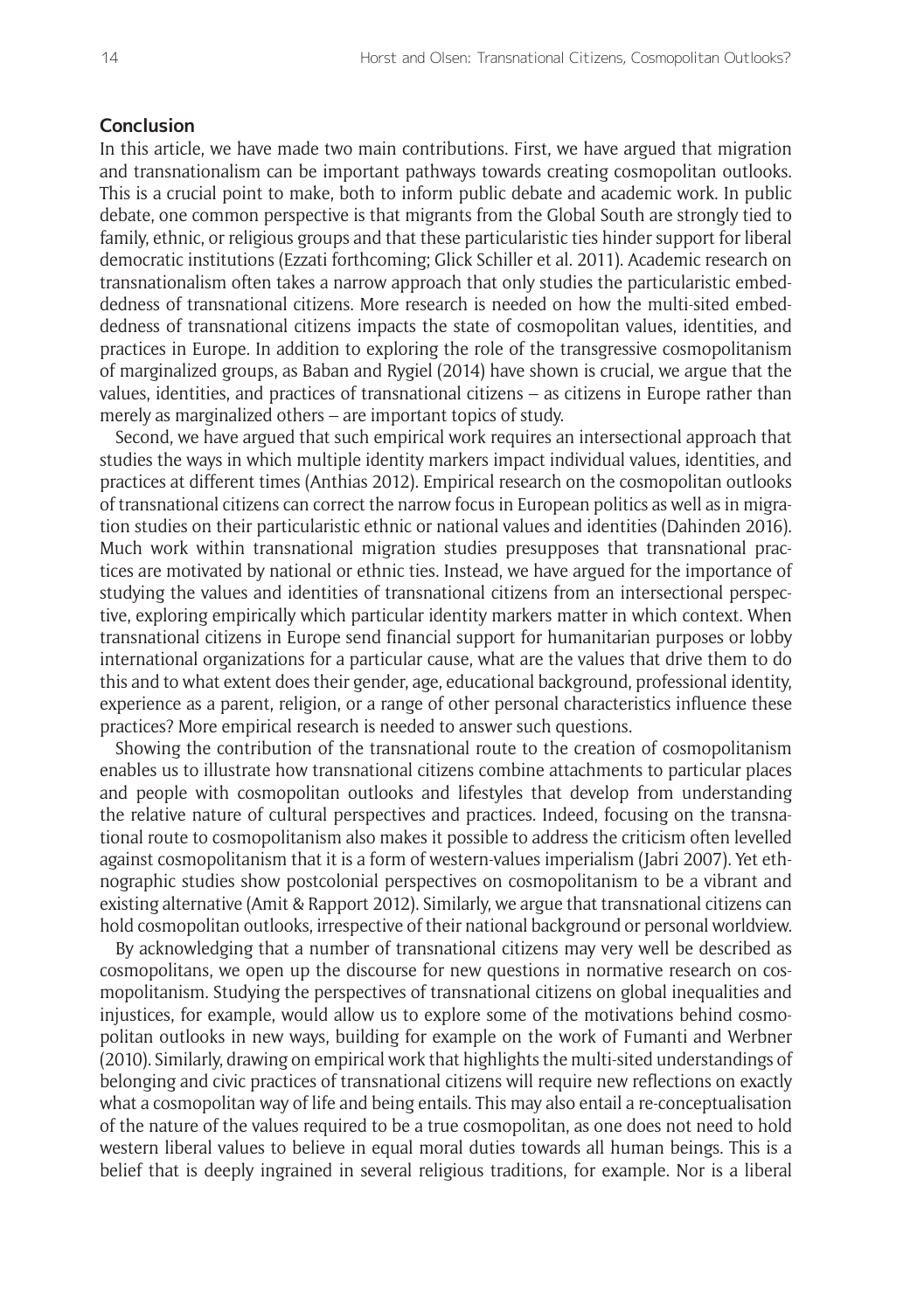#### **Conclusion**

In this article, we have made two main contributions. First, we have argued that migration and transnationalism can be important pathways towards creating cosmopolitan outlooks. This is a crucial point to make, both to inform public debate and academic work. In public debate, one common perspective is that migrants from the Global South are strongly tied to family, ethnic, or religious groups and that these particularistic ties hinder support for liberal democratic institutions (Ezzati forthcoming; Glick Schiller et al. 2011). Academic research on transnationalism often takes a narrow approach that only studies the particularistic embeddedness of transnational citizens. More research is needed on how the multi-sited embeddedness of transnational citizens impacts the state of cosmopolitan values, identities, and practices in Europe. In addition to exploring the role of the transgressive cosmopolitanism of marginalized groups, as Baban and Rygiel (2014) have shown is crucial, we argue that the values, identities, and practices of transnational citizens – as citizens in Europe rather than merely as marginalized others – are important topics of study.

Second, we have argued that such empirical work requires an intersectional approach that studies the ways in which multiple identity markers impact individual values, identities, and practices at different times (Anthias 2012). Empirical research on the cosmopolitan outlooks of transnational citizens can correct the narrow focus in European politics as well as in migration studies on their particularistic ethnic or national values and identities (Dahinden 2016). Much work within transnational migration studies presupposes that transnational practices are motivated by national or ethnic ties. Instead, we have argued for the importance of studying the values and identities of transnational citizens from an intersectional perspective, exploring empirically which particular identity markers matter in which context. When transnational citizens in Europe send financial support for humanitarian purposes or lobby international organizations for a particular cause, what are the values that drive them to do this and to what extent does their gender, age, educational background, professional identity, experience as a parent, religion, or a range of other personal characteristics influence these practices? More empirical research is needed to answer such questions.

Showing the contribution of the transnational route to the creation of cosmopolitanism enables us to illustrate how transnational citizens combine attachments to particular places and people with cosmopolitan outlooks and lifestyles that develop from understanding the relative nature of cultural perspectives and practices. Indeed, focusing on the transnational route to cosmopolitanism also makes it possible to address the criticism often levelled against cosmopolitanism that it is a form of western-values imperialism (Jabri 2007). Yet ethnographic studies show postcolonial perspectives on cosmopolitanism to be a vibrant and existing alternative (Amit & Rapport 2012). Similarly, we argue that transnational citizens can hold cosmopolitan outlooks, irrespective of their national background or personal worldview.

By acknowledging that a number of transnational citizens may very well be described as cosmopolitans, we open up the discourse for new questions in normative research on cosmopolitanism. Studying the perspectives of transnational citizens on global inequalities and injustices, for example, would allow us to explore some of the motivations behind cosmopolitan outlooks in new ways, building for example on the work of Fumanti and Werbner (2010). Similarly, drawing on empirical work that highlights the multi-sited understandings of belonging and civic practices of transnational citizens will require new reflections on exactly what a cosmopolitan way of life and being entails. This may also entail a re-conceptualisation of the nature of the values required to be a true cosmopolitan, as one does not need to hold western liberal values to believe in equal moral duties towards all human beings. This is a belief that is deeply ingrained in several religious traditions, for example. Nor is a liberal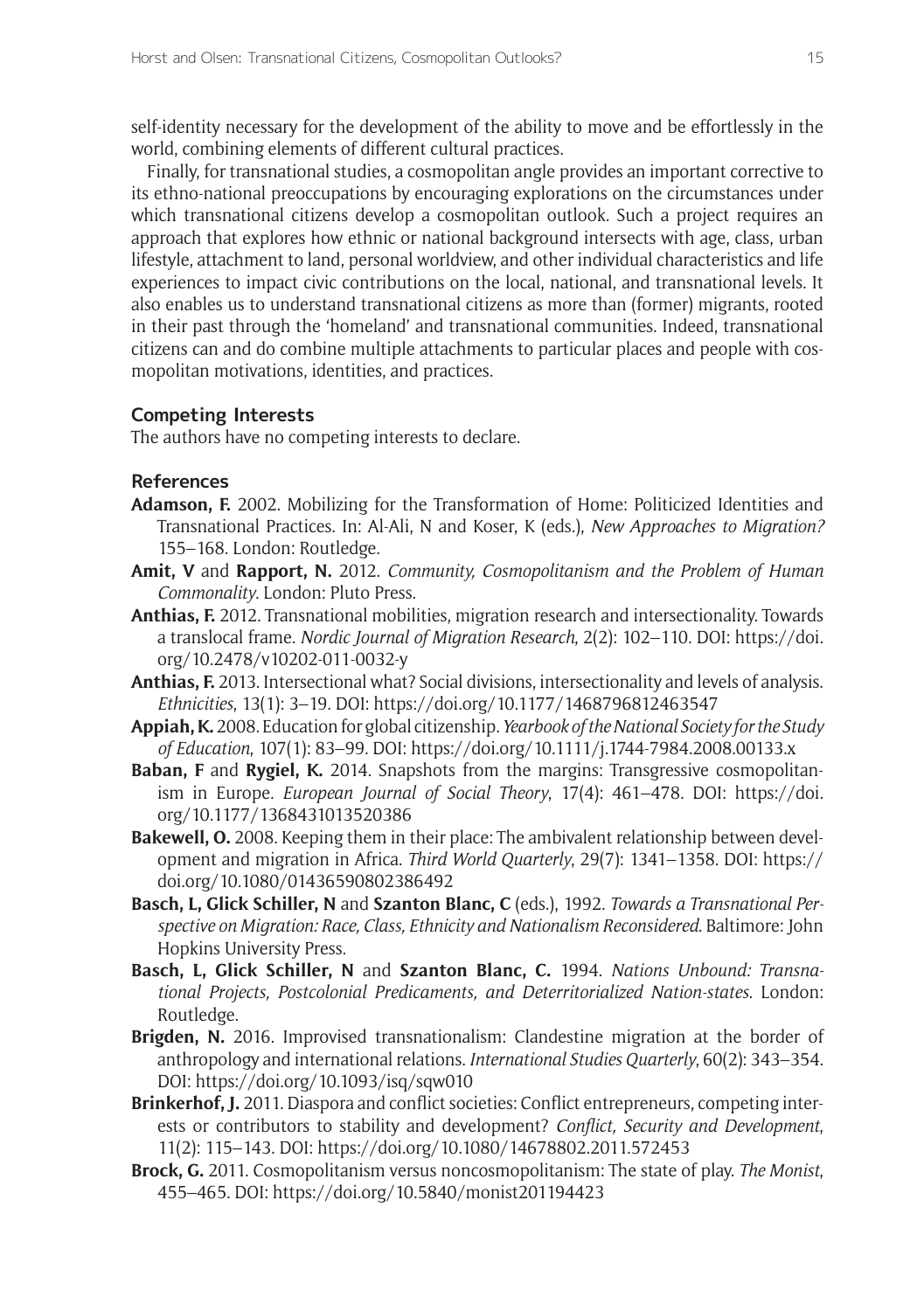self-identity necessary for the development of the ability to move and be effortlessly in the world, combining elements of different cultural practices.

Finally, for transnational studies, a cosmopolitan angle provides an important corrective to its ethno-national preoccupations by encouraging explorations on the circumstances under which transnational citizens develop a cosmopolitan outlook. Such a project requires an approach that explores how ethnic or national background intersects with age, class, urban lifestyle, attachment to land, personal worldview, and other individual characteristics and life experiences to impact civic contributions on the local, national, and transnational levels. It also enables us to understand transnational citizens as more than (former) migrants, rooted in their past through the 'homeland' and transnational communities. Indeed, transnational citizens can and do combine multiple attachments to particular places and people with cosmopolitan motivations, identities, and practices.

### **Competing Interests**

The authors have no competing interests to declare.

#### **References**

- **Adamson, F.** 2002. Mobilizing for the Transformation of Home: Politicized Identities and Transnational Practices. In: Al-Ali, N and Koser, K (eds.), *New Approaches to Migration?*  155–168. London: Routledge.
- **Amit, V** and **Rapport, N.** 2012. *Community, Cosmopolitanism and the Problem of Human Commonality*. London: Pluto Press.
- **Anthias, F.** 2012. Transnational mobilities, migration research and intersectionality. Towards a translocal frame. *Nordic Journal of Migration Research*, 2(2): 102–110. DOI: [https://doi.](https://doi.org/10.2478/v10202-011-0032-y) [org/10.2478/v10202-011-0032-y](https://doi.org/10.2478/v10202-011-0032-y)
- **Anthias, F.** 2013. Intersectional what? Social divisions, intersectionality and levels of analysis. *Ethnicities*, 13(1): 3–19. DOI: <https://doi.org/10.1177/1468796812463547>
- **Appiah, K.** 2008. Education for global citizenship. *Yearbook of the National Society for the Study of Education*, 107(1): 83–99. DOI:<https://doi.org/10.1111/j.1744-7984.2008.00133.x>
- **Baban, F** and **Rygiel, K.** 2014. Snapshots from the margins: Transgressive cosmopolitanism in Europe. *European Journal of Social Theory*, 17(4): 461–478. DOI: [https://doi.](https://doi.org/10.1177/1368431013520386) [org/10.1177/1368431013520386](https://doi.org/10.1177/1368431013520386)
- **Bakewell, O.** 2008. Keeping them in their place: The ambivalent relationship between development and migration in Africa. *Third World Quarterly*, 29(7): 1341–1358. DOI: [https://](https://doi.org/10.1080/01436590802386492) [doi.org/10.1080/01436590802386492](https://doi.org/10.1080/01436590802386492)
- **Basch, L, Glick Schiller, N** and **Szanton Blanc, C** (eds.), 1992. *Towards a Transnational Perspective on Migration: Race, Class, Ethnicity and Nationalism Reconsidered*. Baltimore: John Hopkins University Press.
- **Basch, L, Glick Schiller, N** and **Szanton Blanc, C.** 1994. *Nations Unbound: Transnational Projects, Postcolonial Predicaments, and Deterritorialized Nation-states*. London: Routledge.
- **Brigden, N.** 2016. Improvised transnationalism: Clandestine migration at the border of anthropology and international relations. *International Studies Quarterly*, 60(2): 343–354. DOI: <https://doi.org/10.1093/isq/sqw010>
- **Brinkerhof, J.** 2011. Diaspora and conflict societies: Conflict entrepreneurs, competing interests or contributors to stability and development? *Conflict, Security and Development*, 11(2): 115–143. DOI: <https://doi.org/10.1080/14678802.2011.572453>
- **Brock, G.** 2011. Cosmopolitanism versus noncosmopolitanism: The state of play. *The Monist*, 455–465. DOI:<https://doi.org/10.5840/monist201194423>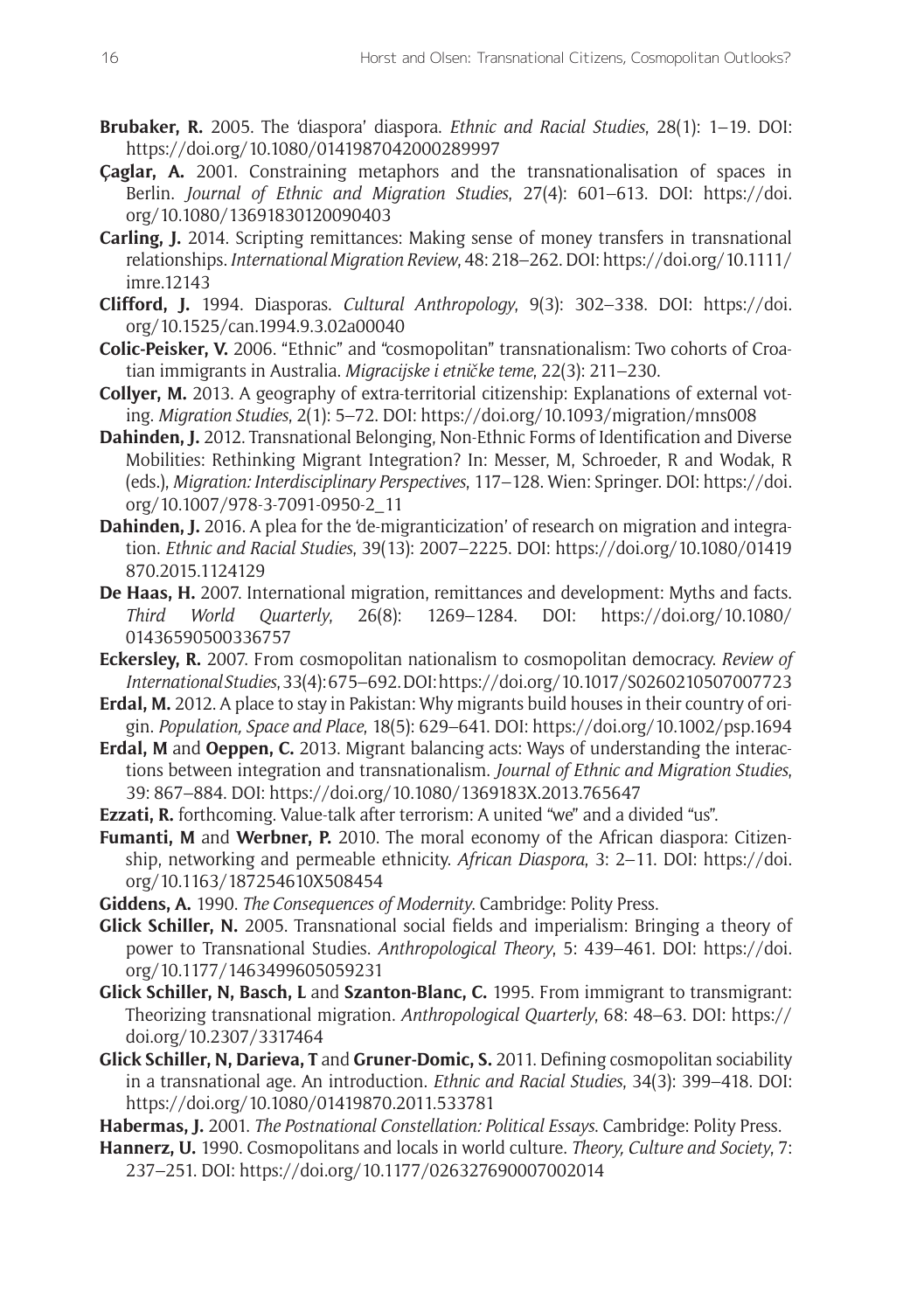- **Brubaker, R.** 2005. The 'diaspora' diaspora. *Ethnic and Racial Studies*, 28(1): 1–19. DOI: <https://doi.org/10.1080/0141987042000289997>
- **Çaglar, A.** 2001. Constraining metaphors and the transnationalisation of spaces in Berlin. *Journal of Ethnic and Migration Studies*, 27(4): 601–613. DOI: [https://doi.](https://doi.org/10.1080/13691830120090403) [org/10.1080/13691830120090403](https://doi.org/10.1080/13691830120090403)
- **Carling, J.** 2014. Scripting remittances: Making sense of money transfers in transnational relationships. *International Migration Review*, 48: 218–262. DOI: [https://doi.org/10.1111/](https://doi.org/10.1111/imre.12143) [imre.12143](https://doi.org/10.1111/imre.12143)
- **Clifford, J.** 1994. Diasporas. *Cultural Anthropology*, 9(3): 302–338. DOI: [https://doi.](https://doi.org/10.1525/can.1994.9.3.02a00040) [org/10.1525/can.1994.9.3.02a00040](https://doi.org/10.1525/can.1994.9.3.02a00040)
- **Colic-Peisker, V.** 2006. "Ethnic" and "cosmopolitan" transnationalism: Two cohorts of Croatian immigrants in Australia. *Migracijske i etničke teme*, 22(3): 211–230.
- **Collyer, M.** 2013. A geography of extra-territorial citizenship: Explanations of external voting. *Migration Studies*, 2(1): 5–72. DOI:<https://doi.org/10.1093/migration/mns008>
- **Dahinden, J.** 2012. Transnational Belonging, Non-Ethnic Forms of Identification and Diverse Mobilities: Rethinking Migrant Integration? In: Messer, M, Schroeder, R and Wodak, R (eds.), *Migration: Interdisciplinary Perspectives*, 117–128. Wien: Springer. DOI: [https://doi.](https://doi.org/10.1007/978-3-7091-0950-2_11) [org/10.1007/978-3-7091-0950-2\\_11](https://doi.org/10.1007/978-3-7091-0950-2_11)
- **Dahinden, J.** 2016. A plea for the 'de-migranticization' of research on migration and integration. *Ethnic and Racial Studies*, 39(13): 2007–2225. DOI: [https://doi.org/10.1080/01419](https://doi.org/10.1080/01419870.2015.1124129) [870.2015.1124129](https://doi.org/10.1080/01419870.2015.1124129)
- **De Haas, H.** 2007. International migration, remittances and development: Myths and facts. *Third World Quarterly*, 26(8): 1269–1284. DOI: [https://doi.org/10.1080/](https://doi.org/10.1080/01436590500336757) [01436590500336757](https://doi.org/10.1080/01436590500336757)
- **Eckersley, R.** 2007. From cosmopolitan nationalism to cosmopolitan democracy. *Review of International Studies*, 33(4): 675–692. DOI:<https://doi.org/10.1017/S0260210507007723>
- **Erdal, M.** 2012. A place to stay in Pakistan: Why migrants build houses in their country of origin. *Population, Space and Place*, 18(5): 629–641. DOI: <https://doi.org/10.1002/psp.1694>
- **Erdal, M** and **Oeppen, C.** 2013. Migrant balancing acts: Ways of understanding the interactions between integration and transnationalism. *Journal of Ethnic and Migration Studies*, 39: 867–884. DOI: <https://doi.org/10.1080/1369183X.2013.765647>
- **Ezzati, R.** forthcoming. Value-talk after terrorism: A united "we" and a divided "us".
- **Fumanti, M** and **Werbner, P.** 2010. The moral economy of the African diaspora: Citizenship, networking and permeable ethnicity. *African Diaspora*, 3: 2–11. DOI: [https://doi.](https://doi.org/10.1163/187254610X508454) [org/10.1163/187254610X508454](https://doi.org/10.1163/187254610X508454)
- **Giddens, A.** 1990. *The Consequences of Modernity*. Cambridge: Polity Press.
- **Glick Schiller, N.** 2005. Transnational social fields and imperialism: Bringing a theory of power to Transnational Studies. *Anthropological Theory*, 5: 439–461. DOI: [https://doi.](https://doi.org/10.1177/1463499605059231) [org/10.1177/1463499605059231](https://doi.org/10.1177/1463499605059231)
- **Glick Schiller, N, Basch, L** and **Szanton-Blanc, C.** 1995. From immigrant to transmigrant: Theorizing transnational migration. *Anthropological Quarterly*, 68: 48–63. DOI: [https://](https://doi.org/10.2307/3317464) [doi.org/10.2307/3317464](https://doi.org/10.2307/3317464)
- **Glick Schiller, N, Darieva, T** and **Gruner-Domic, S.** 2011. Defining cosmopolitan sociability in a transnational age. An introduction. *Ethnic and Racial Studies*, 34(3): 399–418. DOI: https://doi.org/10.1080/01419870.2011.533781
- **Habermas, J.** 2001. *The Postnational Constellation: Political Essays*. Cambridge: Polity Press.
- **Hannerz, U.** 1990. Cosmopolitans and locals in world culture. *Theory, Culture and Society*, 7: 237–251. DOI:<https://doi.org/10.1177/026327690007002014>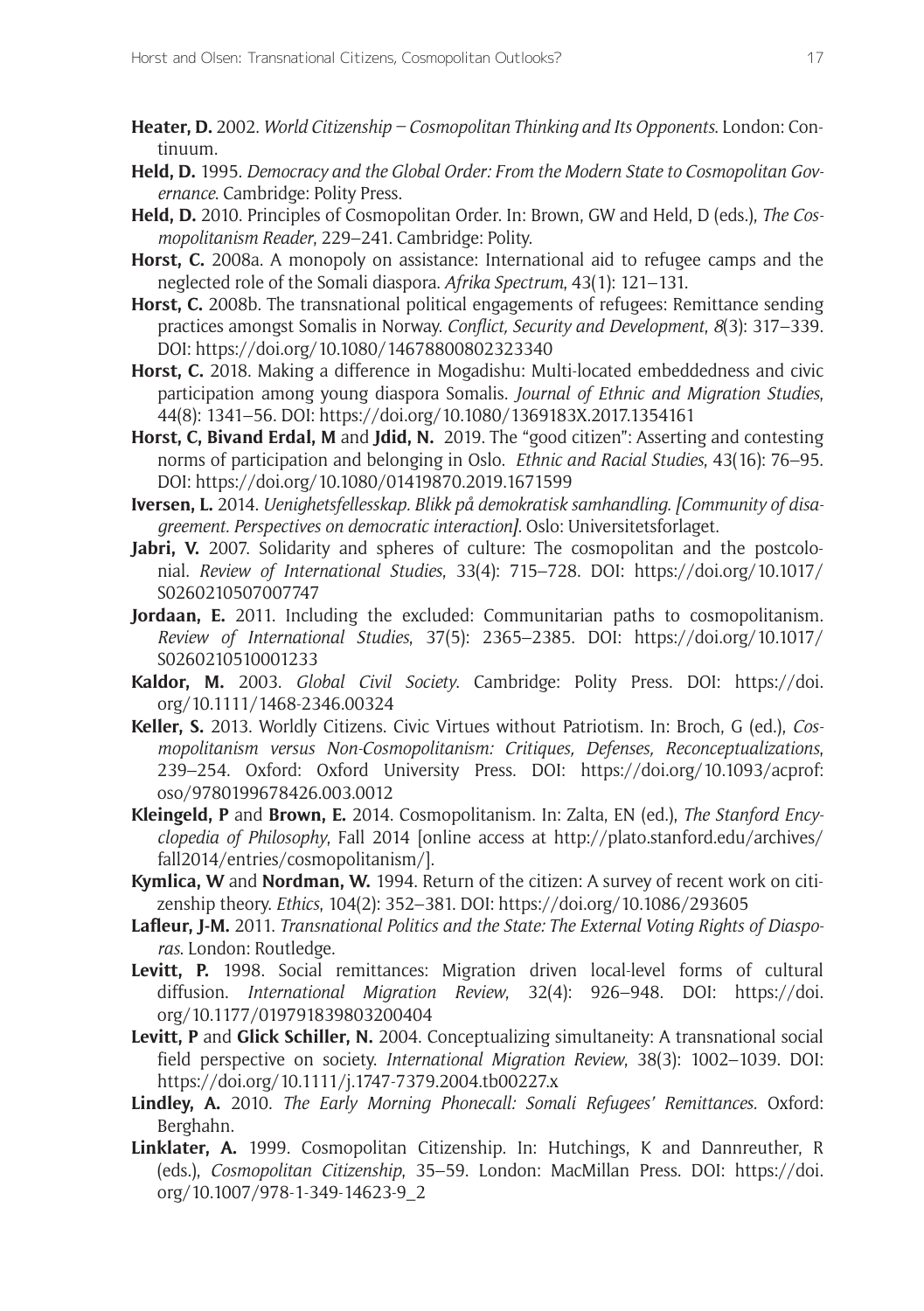- **Heater, D.** 2002. *World Citizenship Cosmopolitan Thinking and Its Opponents*. London: Continuum.
- **Held, D.** 1995. *Democracy and the Global Order: From the Modern State to Cosmopolitan Governance*. Cambridge: Polity Press.
- **Held, D.** 2010. Principles of Cosmopolitan Order. In: Brown, GW and Held, D (eds.), *The Cosmopolitanism Reader*, 229–241. Cambridge: Polity.
- **Horst, C.** 2008a. A monopoly on assistance: International aid to refugee camps and the neglected role of the Somali diaspora. *Afrika Spectrum*, 43(1): 121–131.
- **Horst, C.** 2008b. The transnational political engagements of refugees: Remittance sending practices amongst Somalis in Norway. *Conflict, Security and Development*, *8*(3): 317–339. DOI: <https://doi.org/10.1080/14678800802323340>
- **Horst, C.** 2018. Making a difference in Mogadishu: Multi-located embeddedness and civic participation among young diaspora Somalis. *Journal of Ethnic and Migration Studies*, 44(8): 1341–56. DOI: <https://doi.org/10.1080/1369183X.2017.1354161>
- **Horst, C, Bivand Erdal, M** and **Jdid, N.** 2019. The "good citizen": Asserting and contesting norms of participation and belonging in Oslo. *Ethnic and Racial Studies*, 43(16): 76–95. DOI: <https://doi.org/10.1080/01419870.2019.1671599>
- **Iversen, L.** 2014. *Uenighetsfellesskap. Blikk på demokratisk samhandling. [Community of disagreement. Perspectives on democratic interaction]*. Oslo: Universitetsforlaget.
- **Jabri, V.** 2007. Solidarity and spheres of culture: The cosmopolitan and the postcolonial. *Review of International Studies*, 33(4): 715–728. DOI: [https://doi.org/10.1017/](https://doi.org/10.1017/S0260210507007747) [S0260210507007747](https://doi.org/10.1017/S0260210507007747)
- **Jordaan, E.** 2011. Including the excluded: Communitarian paths to cosmopolitanism. *Review of International Studies*, 37(5): 2365–2385. DOI: [https://doi.org/10.1017/](https://doi.org/10.1017/S0260210510001233) [S0260210510001233](https://doi.org/10.1017/S0260210510001233)
- **Kaldor, M.** 2003. *Global Civil Society*. Cambridge: Polity Press. DOI: [https://doi.](https://doi.org/10.1111/1468-2346.00324) [org/10.1111/1468-2346.00324](https://doi.org/10.1111/1468-2346.00324)
- **Keller, S.** 2013. Worldly Citizens. Civic Virtues without Patriotism. In: Broch, G (ed.), *Cosmopolitanism versus Non-Cosmopolitanism: Critiques, Defenses, Reconceptualizations*, 239–254. Oxford: Oxford University Press. DOI: [https://doi.org/10.1093/acprof:](https://doi.org/10.1093/acprof:oso/9780199678426.003.0012) [oso/9780199678426.003.0012](https://doi.org/10.1093/acprof:oso/9780199678426.003.0012)
- **Kleingeld, P** and **Brown, E.** 2014. Cosmopolitanism. In: Zalta, EN (ed.), *The Stanford Encyclopedia of Philosophy*, Fall 2014 [online access at [http://plato.stanford.edu/archives/](http://plato.stanford.edu/archives/fall2014/entries/cosmopolitanism/) [fall2014/entries/cosmopolitanism/\]](http://plato.stanford.edu/archives/fall2014/entries/cosmopolitanism/).
- **Kymlica, W** and **Nordman, W.** 1994. Return of the citizen: A survey of recent work on citizenship theory. *Ethics*, 104(2): 352–381. DOI:<https://doi.org/10.1086/293605>
- **Lafleur, J-M.** 2011. *Transnational Politics and the State: The External Voting Rights of Diasporas*. London: Routledge.
- **Levitt, P.** 1998. Social remittances: Migration driven local-level forms of cultural diffusion. *International Migration Review*, 32(4): 926–948. DOI: [https://doi.](https://doi.org/10.1177/019791839803200404) [org/10.1177/019791839803200404](https://doi.org/10.1177/019791839803200404)
- **Levitt, P** and **Glick Schiller, N.** 2004. Conceptualizing simultaneity: A transnational social field perspective on society. *International Migration Review*, 38(3): 1002–1039. DOI: <https://doi.org/10.1111/j.1747-7379.2004.tb00227.x>
- **Lindley, A.** 2010. *The Early Morning Phonecall: Somali Refugees' Remittances.* Oxford: Berghahn.
- **Linklater, A.** 1999. Cosmopolitan Citizenship. In: Hutchings, K and Dannreuther, R (eds.), *Cosmopolitan Citizenship*, 35–59. London: MacMillan Press. DOI: [https://doi.](https://doi.org/10.1007/978-1-349-14623-9_2) [org/10.1007/978-1-349-14623-9\\_2](https://doi.org/10.1007/978-1-349-14623-9_2)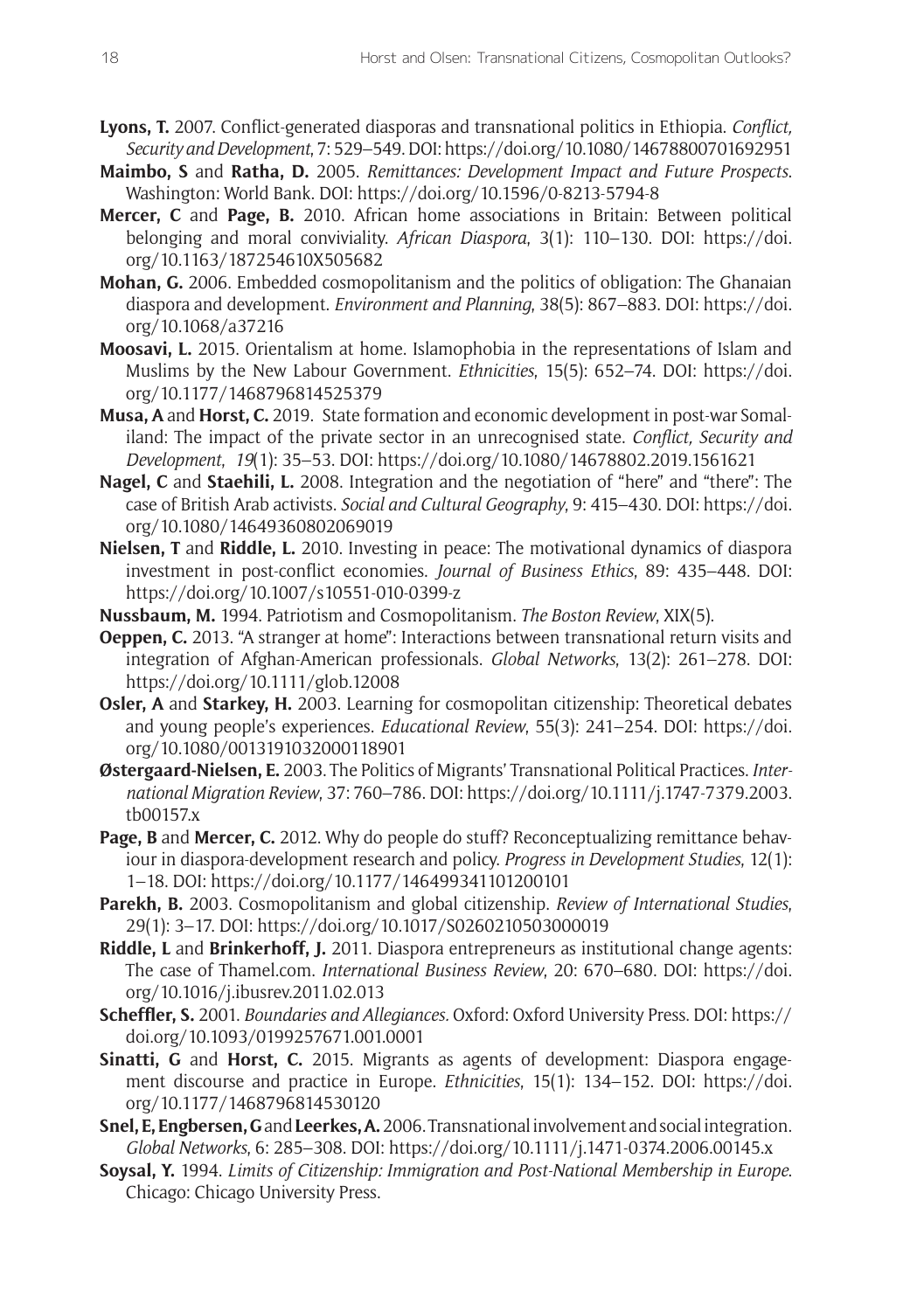- **Lyons, T.** 2007. Conflict-generated diasporas and transnational politics in Ethiopia. *Conflict, Security and Development*, 7: 529–549. DOI:<https://doi.org/10.1080/14678800701692951>
- **Maimbo, S** and **Ratha, D.** 2005. *Remittances: Development Impact and Future Prospects*. Washington: World Bank. DOI:<https://doi.org/10.1596/0-8213-5794-8>
- **Mercer, C** and **Page, B.** 2010. African home associations in Britain: Between political belonging and moral conviviality. *African Diaspora*, 3(1): 110–130. DOI: [https://doi.](https://doi.org/10.1163/187254610X505682) [org/10.1163/187254610X505682](https://doi.org/10.1163/187254610X505682)
- **Mohan, G.** 2006. Embedded cosmopolitanism and the politics of obligation: The Ghanaian diaspora and development. *Environment and Planning*, 38(5): 867–883. DOI: [https://doi.](https://doi.org/10.1068/a37216) [org/10.1068/a37216](https://doi.org/10.1068/a37216)
- **Moosavi, L.** 2015. Orientalism at home. Islamophobia in the representations of Islam and Muslims by the New Labour Government. *Ethnicities*, 15(5): 652–74. DOI: [https://doi.](https://doi.org/10.1177/1468796814525379) [org/10.1177/1468796814525379](https://doi.org/10.1177/1468796814525379)
- **Musa, A** and **Horst, C.** 2019. State formation and economic development in post-war Somaliland: The impact of the private sector in an unrecognised state. *Conflict, Security and Development*, *19*(1): 35–53. DOI:<https://doi.org/10.1080/14678802.2019.1561621>
- Nagel, C and Staehili, L. 2008. Integration and the negotiation of "here" and "there": The case of British Arab activists. *Social and Cultural Geography*, 9: 415–430. DOI: [https://doi.](https://doi.org/10.1080/14649360802069019) [org/10.1080/14649360802069019](https://doi.org/10.1080/14649360802069019)
- **Nielsen, T** and **Riddle, L.** 2010. Investing in peace: The motivational dynamics of diaspora investment in post-conflict economies. *Journal of Business Ethics*, 89: 435–448. DOI: <https://doi.org/10.1007/s10551-010-0399-z>
- **Nussbaum, M.** 1994. Patriotism and Cosmopolitanism. *The Boston Review*, XIX(5).
- **Oeppen, C.** 2013. "A stranger at home": Interactions between transnational return visits and integration of Afghan-American professionals. *Global Networks*, 13(2): 261–278. DOI: <https://doi.org/10.1111/glob.12008>
- **Osler, A** and **Starkey, H.** 2003. Learning for cosmopolitan citizenship: Theoretical debates and young people's experiences. *Educational Review*, 55(3): 241–254. DOI: [https://doi.](https://doi.org/10.1080/0013191032000118901) [org/10.1080/0013191032000118901](https://doi.org/10.1080/0013191032000118901)
- **Østergaard-Nielsen, E.** 2003. The Politics of Migrants' Transnational Political Practices. *International Migration Review*, 37: 760–786. DOI: [https://doi.org/10.1111/j.1747-7379.2003.](https://doi.org/10.1111/j.1747-7379.2003.tb00157.x) [tb00157.x](https://doi.org/10.1111/j.1747-7379.2003.tb00157.x)
- **Page, B** and **Mercer, C.** 2012. Why do people do stuff? Reconceptualizing remittance behaviour in diaspora-development research and policy. *Progress in Development Studies*, 12(1): 1–18. DOI: <https://doi.org/10.1177/146499341101200101>
- **Parekh, B.** 2003. Cosmopolitanism and global citizenship. *Review of International Studies*, 29(1): 3–17. DOI:<https://doi.org/10.1017/S0260210503000019>
- **Riddle, L** and **Brinkerhoff, J.** 2011. Diaspora entrepreneurs as institutional change agents: The case of [Thamel.com](http://Thamel.com). *International Business Review*, 20: 670–680. DOI: [https://doi.](https://doi.org/10.1016/j.ibusrev.2011.02.013) [org/10.1016/j.ibusrev.2011.02.013](https://doi.org/10.1016/j.ibusrev.2011.02.013)
- **Scheffler, S.** 2001. *Boundaries and Allegiances.* Oxford: Oxford University Press. DOI: [https://](https://doi.org/10.1093/0199257671.001.0001) [doi.org/10.1093/0199257671.001.0001](https://doi.org/10.1093/0199257671.001.0001)
- **Sinatti, G** and **Horst, C.** 2015. Migrants as agents of development: Diaspora engagement discourse and practice in Europe. *Ethnicities*, 15(1): 134–152. DOI: [https://doi.](https://doi.org/10.1177/1468796814530120) [org/10.1177/1468796814530120](https://doi.org/10.1177/1468796814530120)
- **Snel, E,Engbersen, G** and **Leerkes, A.** 2006. Transnational involvement and social integration. *Global Networks*, 6: 285–308. DOI:<https://doi.org/10.1111/j.1471-0374.2006.00145.x>
- **Soysal, Y.** 1994. *Limits of Citizenship: Immigration and Post-National Membership in Europe*. Chicago: Chicago University Press.